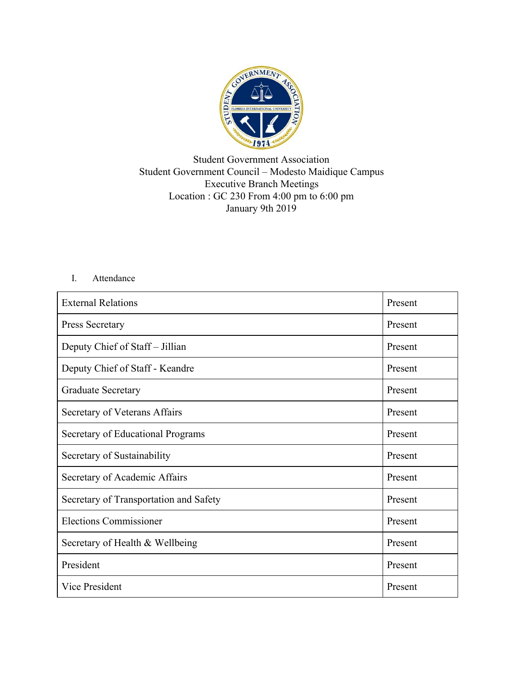

## Student Government Association Student Government Council – Modesto Maidique Campus Executive Branch Meetings Location : GC 230 From 4:00 pm to 6:00 pm January 9th 2019

## I. Attendance

| <b>External Relations</b>              | Present |
|----------------------------------------|---------|
| Press Secretary                        | Present |
| Deputy Chief of Staff - Jillian        | Present |
| Deputy Chief of Staff - Keandre        | Present |
| <b>Graduate Secretary</b>              | Present |
| Secretary of Veterans Affairs          | Present |
| Secretary of Educational Programs      | Present |
| Secretary of Sustainability            | Present |
| Secretary of Academic Affairs          | Present |
| Secretary of Transportation and Safety | Present |
| <b>Elections Commissioner</b>          | Present |
| Secretary of Health & Wellbeing        | Present |
| President                              | Present |
| Vice President                         | Present |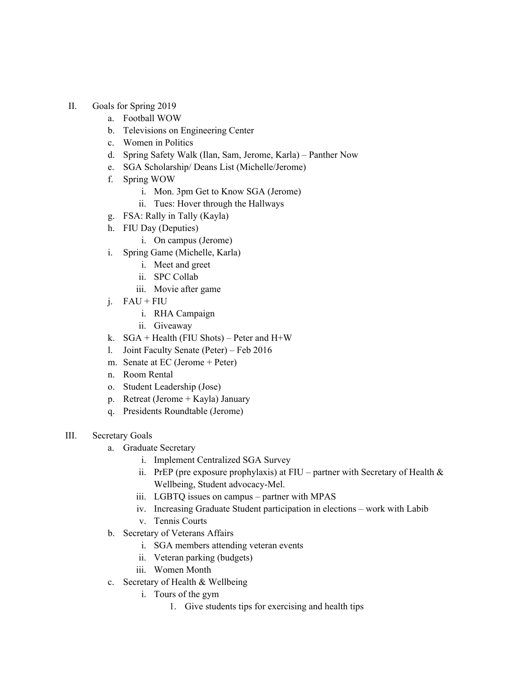- II. Goals for Spring 2019
	- a. Football WOW
	- b. Televisions on Engineering Center
	- c. Women in Politics
	- d. Spring Safety Walk (Ilan, Sam, Jerome, Karla) Panther Now
	- e. SGA Scholarship/ Deans List (Michelle/Jerome)
	- f. Spring WOW
		- i. Mon. 3pm Get to Know SGA (Jerome)
		- ii. Tues: Hover through the Hallways
	- g. FSA: Rally in Tally (Kayla)
	- h. FIU Day (Deputies)
		- i. On campus (Jerome)
	- i. Spring Game (Michelle, Karla)
		- i. Meet and greet
		- ii. SPC Collab
		- iii. Movie after game
	- j. FAU + FIU
		- i. RHA Campaign
		- ii. Giveaway
	- k.  $SGA + Health (FIU Shots) Peter and H+W$
	- l. Joint Faculty Senate (Peter) Feb 2016
	- m. Senate at EC (Jerome + Peter)
	- n. Room Rental
	- o. Student Leadership (Jose)
	- p. Retreat (Jerome + Kayla) January
	- q. Presidents Roundtable (Jerome)
- III. Secretary Goals
	- a. Graduate Secretary
		- i. Implement Centralized SGA Survey
		- ii. PrEP (pre exposure prophylaxis) at FIU partner with Secretary of Health  $\&$ Wellbeing, Student advocacy-Mel.
		- iii. LGBTQ issues on campus partner with MPAS
		- iv. Increasing Graduate Student participation in elections work with Labib
		- v. Tennis Courts
	- b. Secretary of Veterans Affairs
		- i. SGA members attending veteran events
		- ii. Veteran parking (budgets)
		- iii. Women Month
	- c. Secretary of Health & Wellbeing
		- i. Tours of the gym
			- 1. Give students tips for exercising and health tips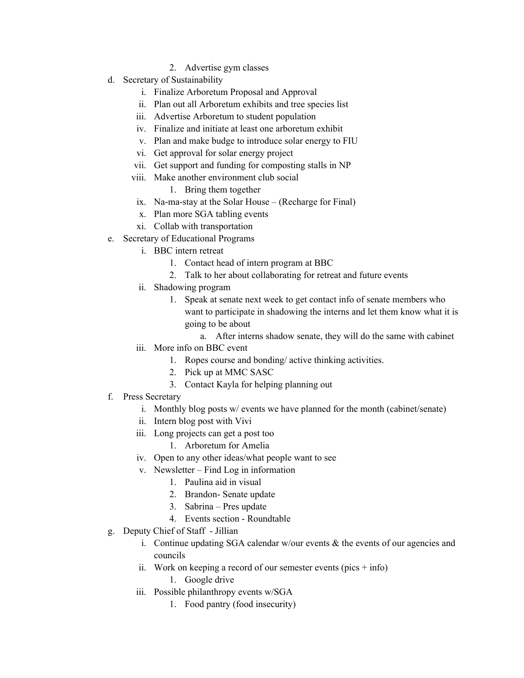- 2. Advertise gym classes
- d. Secretary of Sustainability
	- i. Finalize Arboretum Proposal and Approval
	- ii. Plan out all Arboretum exhibits and tree species list
	- iii. Advertise Arboretum to student population
	- iv. Finalize and initiate at least one arboretum exhibit
	- v. Plan and make budge to introduce solar energy to FIU
	- vi. Get approval for solar energy project
	- vii. Get support and funding for composting stalls in NP
	- viii. Make another environment club social
		- 1. Bring them together
		- ix. Na-ma-stay at the Solar House (Recharge for Final)
		- x. Plan more SGA tabling events
		- xi. Collab with transportation
- e. Secretary of Educational Programs
	- i. BBC intern retreat
		- 1. Contact head of intern program at BBC
		- 2. Talk to her about collaborating for retreat and future events
	- ii. Shadowing program
		- 1. Speak at senate next week to get contact info of senate members who want to participate in shadowing the interns and let them know what it is going to be about
			- a. After interns shadow senate, they will do the same with cabinet
	- iii. More info on BBC event
		- 1. Ropes course and bonding/ active thinking activities.
		- 2. Pick up at MMC SASC
		- 3. Contact Kayla for helping planning out
- f. Press Secretary
	- i. Monthly blog posts w/ events we have planned for the month (cabinet/senate)
	- ii. Intern blog post with Vivi
	- iii. Long projects can get a post too
		- 1. Arboretum for Amelia
	- iv. Open to any other ideas/what people want to see
	- v. Newsletter Find Log in information
		- 1. Paulina aid in visual
		- 2. Brandon- Senate update
		- 3. Sabrina Pres update
		- 4. Events section Roundtable
- g. Deputy Chief of Staff Jillian
	- i. Continue updating SGA calendar w/our events & the events of our agencies and councils
	- ii. Work on keeping a record of our semester events (pics  $+$  info)
		- 1. Google drive
	- iii. Possible philanthropy events w/SGA
		- 1. Food pantry (food insecurity)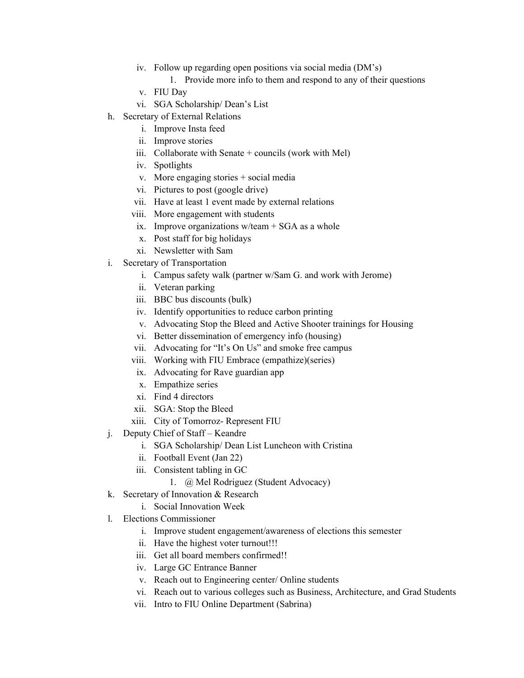- iv. Follow up regarding open positions via social media (DM's)
	- 1. Provide more info to them and respond to any of their questions
- v. FIU Day
- vi. SGA Scholarship/ Dean's List
- h. Secretary of External Relations
	- i. Improve Insta feed
	- ii. Improve stories
	- iii. Collaborate with Senate  $+$  councils (work with Mel)
	- iv. Spotlights
	- v. More engaging stories + social media
	- vi. Pictures to post (google drive)
	- vii. Have at least 1 event made by external relations
	- viii. More engagement with students
	- ix. Improve organizations  $w/$ team + SGA as a whole
	- x. Post staff for big holidays
	- xi. Newsletter with Sam
- i. Secretary of Transportation
	- i. Campus safety walk (partner w/Sam G. and work with Jerome)
	- ii. Veteran parking
	- iii. BBC bus discounts (bulk)
	- iv. Identify opportunities to reduce carbon printing
	- v. Advocating Stop the Bleed and Active Shooter trainings for Housing
	- vi. Better dissemination of emergency info (housing)
	- vii. Advocating for "It's On Us" and smoke free campus
	- viii. Working with FIU Embrace (empathize)(series)
	- ix. Advocating for Rave guardian app
	- x. Empathize series
	- xi. Find 4 directors
	- xii. SGA: Stop the Bleed
	- xiii. City of Tomorroz- Represent FIU
- j. Deputy Chief of Staff Keandre
	- i. SGA Scholarship/ Dean List Luncheon with Cristina
	- ii. Football Event (Jan 22)
	- iii. Consistent tabling in GC
		- 1. @ Mel Rodriguez (Student Advocacy)
- k. Secretary of Innovation & Research
	- i. Social Innovation Week
- l. Elections Commissioner
	- i. Improve student engagement/awareness of elections this semester
	- ii. Have the highest voter turnout!!!
	- iii. Get all board members confirmed!!
	- iv. Large GC Entrance Banner
	- v. Reach out to Engineering center/ Online students
	- vi. Reach out to various colleges such as Business, Architecture, and Grad Students
	- vii. Intro to FIU Online Department (Sabrina)